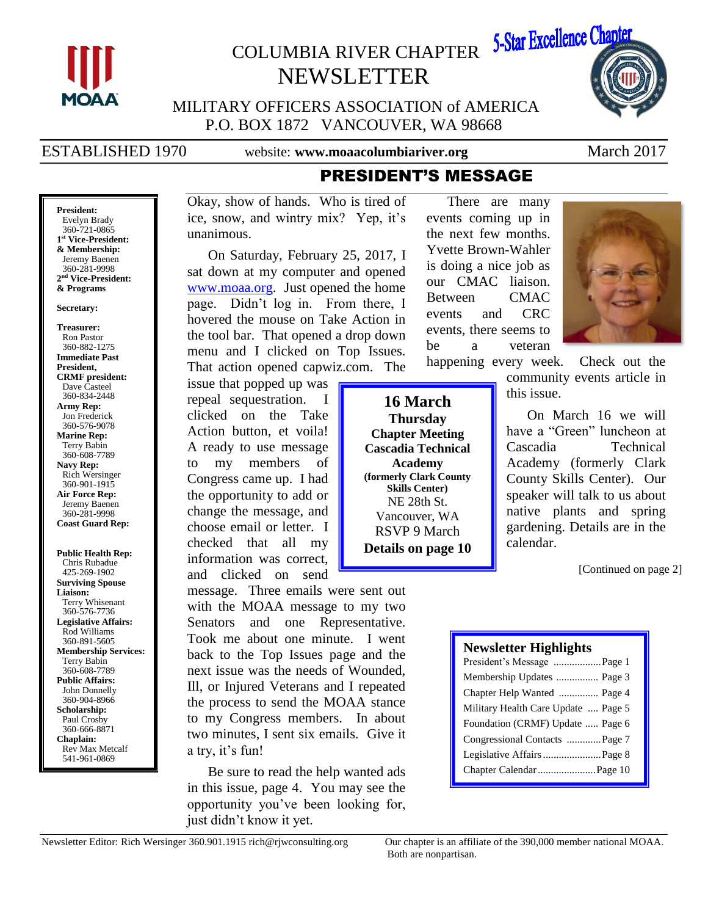

**President:** Evelyn Brady 360-721-0865 **1 st Vice-President: & Membership:** Jeremy Baenen 360-281-9998 **2 nd Vice-President: & Programs Secretary: Treasurer:** Ron Pastor 360-882-1275 **Immediate Past President, CRMF president:** Dave Casteel 360-834-2448 **Army Rep:** Jon Frederick 360-576-9078 **Marine Rep:** Terry Babin 360-608-7789 **Navy Rep:** Rich Wersinger 360-901-1915 **Air Force Rep:** Jeremy Baenen 360-281-9998 **Coast Guard Rep:**

**Public Health Rep:** Chris Rubadue 425-269-1902 **Surviving Spouse Liaison:**

Terry Whisenant 360-576-7736 **Legislative Affairs:** Rod Williams 360-891-5605 **Membership Services:** Terry Babin 360-608-7789 **Public Affairs:** John Donnelly 360-904-8966 **Scholarship:** Paul Crosby 360-666-8871 **Chaplain:** Rev Max Metcalf 541-961-0869

# COLUMBIA RIVER CHAPTER NEWSLETTER



MILITARY OFFICERS ASSOCIATION of AMERICA P.O. BOX 1872 VANCOUVER, WA 98668

ESTABLISHED 1970 website: **www.moaacolumbiariver.org** March 2017

## PRESIDENT'S MESSAGE There are many

events coming up in the next few months. Yvette Brown-Wahler is doing a nice job as our CMAC liaison. Between CMAC events and CRC events, there seems to be a veteran

Okay, show of hands. Who is tired of ice, snow, and wintry mix? Yep, it's unanimous.

On Saturday, February 25, 2017, I sat down at my computer and opened [www.moaa.org.](http://www.moaa.org/) Just opened the home page. Didn't log in. From there, I hovered the mouse on Take Action in the tool bar. That opened a drop down menu and I clicked on Top Issues. That action opened capwiz.com. The

issue that popped up was repeal sequestration. I clicked on the Take Action button, et voila! A ready to use message to my members of Congress came up. I had the opportunity to add or change the message, and choose email or letter. I checked that all my information was correct, and clicked on send

message. Three emails were sent out with the MOAA message to my two Senators and one Representative. Took me about one minute. I went back to the Top Issues page and the next issue was the needs of Wounded, Ill, or Injured Veterans and I repeated the process to send the MOAA stance to my Congress members. In about two minutes, I sent six emails. Give it a try, it's fun!

Be sure to read the help wanted ads in this issue, page 4. You may see the opportunity you've been looking for, just didn't know it yet.

**16 March Thursday Chapter Meeting Cascadia Technical Academy (formerly Clark County Skills Center)** NE 28th St. Vancouver, WA RSVP 9 March **Details on page 10**



happening every week. Check out the community events article in this issue.

> On March 16 we will have a "Green" luncheon at Cascadia Technical Academy (formerly Clark County Skills Center). Our speaker will talk to us about native plants and spring gardening. Details are in the calendar.

> > [Continued on page 2]

### **Newsletter Highlights**

| President's Message  Page 1         |
|-------------------------------------|
| Membership Updates  Page 3          |
| Chapter Help Wanted  Page 4         |
| Military Health Care Update  Page 5 |
| Foundation (CRMF) Update  Page 6    |
| Congressional Contacts  Page 7      |
| Legislative Affairs  Page 8         |
| Chapter Calendar  Page 10           |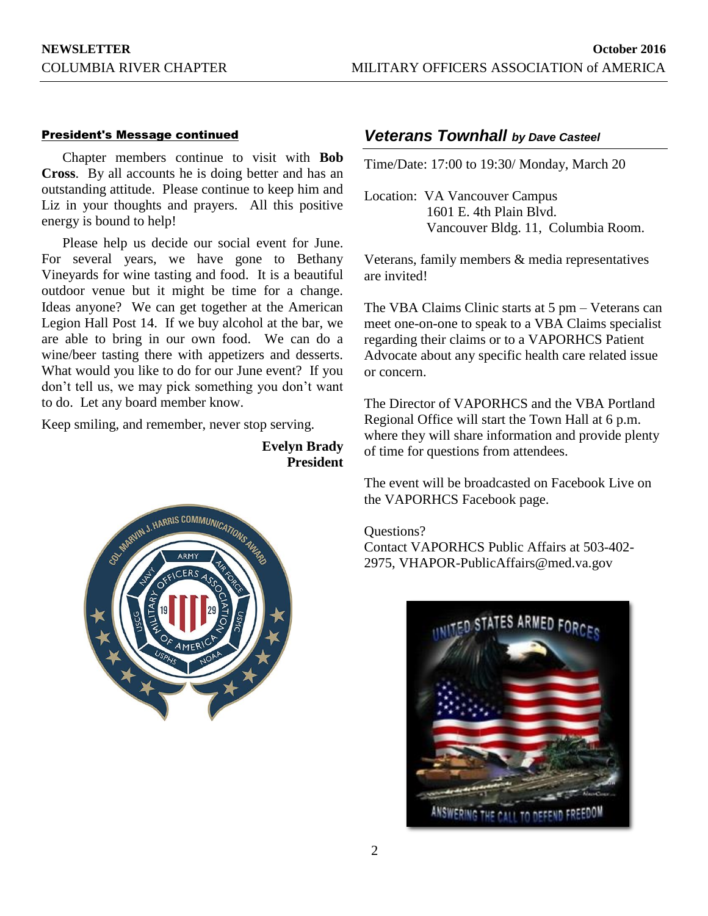### President's Message continued

Chapter members continue to visit with **Bob Cross**. By all accounts he is doing better and has an outstanding attitude. Please continue to keep him and Liz in your thoughts and prayers. All this positive energy is bound to help!

Please help us decide our social event for June. For several years, we have gone to Bethany Vineyards for wine tasting and food. It is a beautiful outdoor venue but it might be time for a change. Ideas anyone? We can get together at the American Legion Hall Post 14. If we buy alcohol at the bar, we are able to bring in our own food. We can do a wine/beer tasting there with appetizers and desserts. What would you like to do for our June event? If you don't tell us, we may pick something you don't want to do. Let any board member know.

Keep smiling, and remember, never stop serving.

**Evelyn Brady President**



### *Veterans Townhall by Dave Casteel*

Time/Date: 17:00 to 19:30/ Monday, March 20

Location: VA Vancouver Campus 1601 E. 4th Plain Blvd. Vancouver Bldg. 11, Columbia Room.

Veterans, family members & media representatives are invited!

The VBA Claims Clinic starts at 5 pm – Veterans can meet one-on-one to speak to a VBA Claims specialist regarding their claims or to a VAPORHCS Patient Advocate about any specific health care related issue or concern.

The Director of VAPORHCS and the VBA Portland Regional Office will start the Town Hall at 6 p.m. where they will share information and provide plenty of time for questions from attendees.

The event will be broadcasted on Facebook Live on the VAPORHCS Facebook page.

Questions?

Contact VAPORHCS Public Affairs at 503-402- 2975, VHAPOR-PublicAffairs@med.va.gov

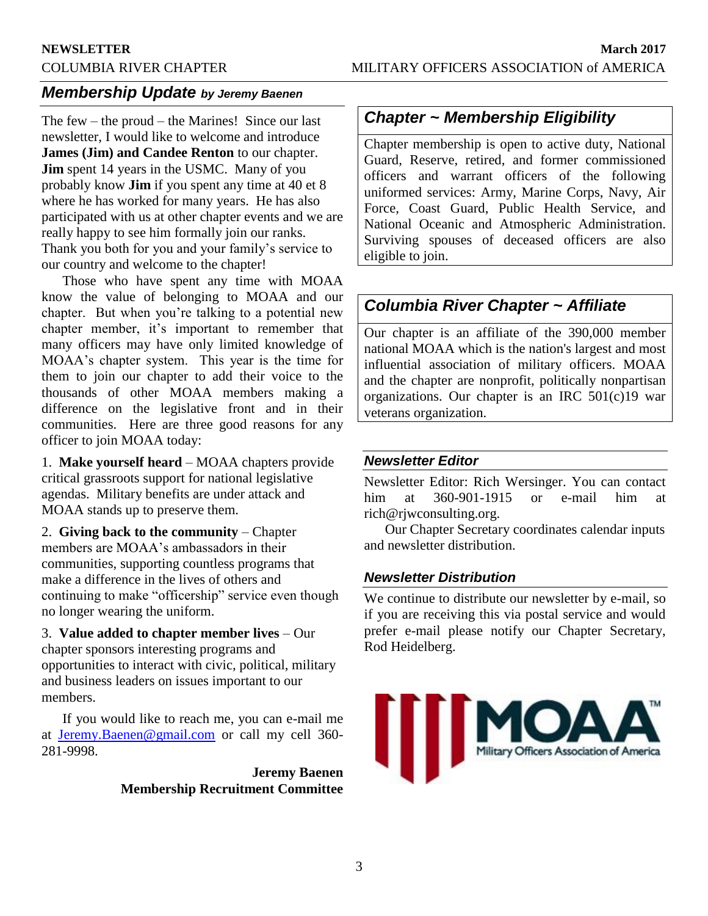## *Membership Update by Jeremy Baenen*

The few – the proud – the Marines! Since our last newsletter, I would like to welcome and introduce **James (Jim) and Candee Renton** to our chapter. **Jim** spent 14 years in the USMC. Many of you probably know **Jim** if you spent any time at 40 et 8 where he has worked for many years. He has also participated with us at other chapter events and we are really happy to see him formally join our ranks. Thank you both for you and your family's service to our country and welcome to the chapter!

Those who have spent any time with MOAA know the value of belonging to MOAA and our chapter. But when you're talking to a potential new chapter member, it's important to remember that many officers may have only limited knowledge of MOAA's chapter system. This year is the time for them to join our chapter to add their voice to the thousands of other MOAA members making a difference on the legislative front and in their communities. Here are three good reasons for any officer to join MOAA today:

1. **Make yourself heard** – MOAA chapters provide critical grassroots support for national legislative agendas. Military benefits are under attack and MOAA stands up to preserve them.

2. **Giving back to the community** – Chapter members are MOAA's ambassadors in their communities, supporting countless programs that make a difference in the lives of others and continuing to make "officership" service even though no longer wearing the uniform.

3. **Value added to chapter member lives** – Our chapter sponsors interesting programs and opportunities to interact with civic, political, military and business leaders on issues important to our members.

If you would like to reach me, you can e-mail me at [Jeremy.Baenen@gmail.com](mailto:Jeremy.Baenen@gmail.com) or call my cell 360- 281-9998.

> **Jeremy Baenen Membership Recruitment Committee**

## *Chapter ~ Membership Eligibility*

Chapter membership is open to active duty, National Guard, Reserve, retired, and former commissioned officers and warrant officers of the following uniformed services: Army, Marine Corps, Navy, Air Force, Coast Guard, Public Health Service, and National Oceanic and Atmospheric Administration. Surviving spouses of deceased officers are also eligible to join.

## *Columbia River Chapter ~ Affiliate*

Our chapter is an affiliate of the 390,000 member national MOAA which is the nation's largest and most influential association of military officers. MOAA and the chapter are nonprofit, politically nonpartisan organizations. Our chapter is an IRC 501(c)19 war veterans organization.

### *Newsletter Editor*

Newsletter Editor: Rich Wersinger. You can contact him at 360-901-1915 or e-mail him at rich@rjwconsulting.org.

Our Chapter Secretary coordinates calendar inputs and newsletter distribution.

### *Newsletter Distribution*

We continue to distribute our newsletter by e-mail, so if you are receiving this via postal service and would prefer e-mail please notify our Chapter Secretary, Rod Heidelberg.

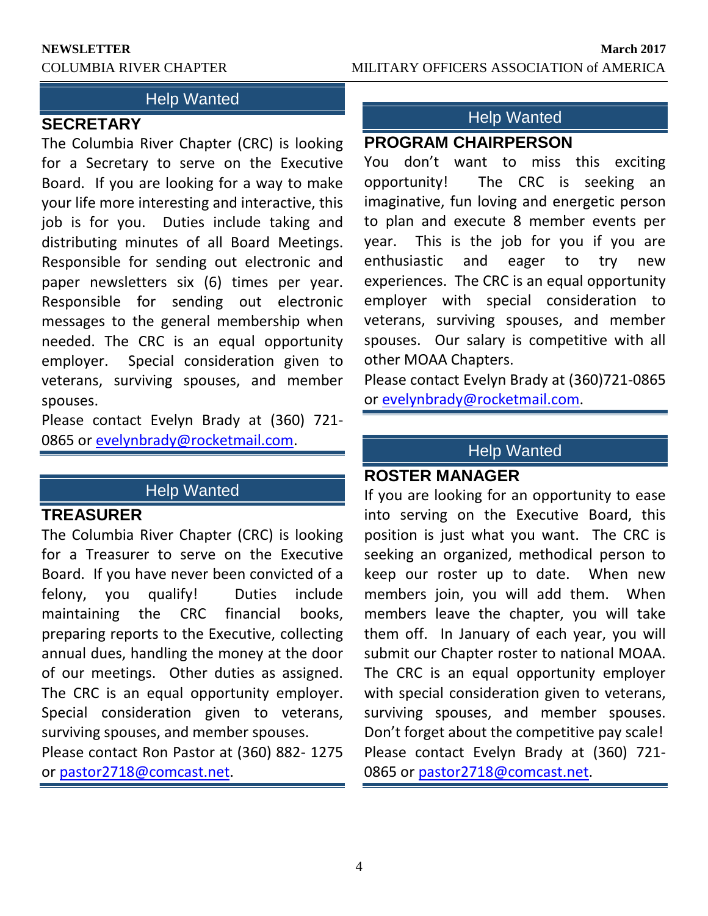## **Help Wanted**

## **SECRETARY**

The Columbia River Chapter (CRC) is looking for a Secretary to serve on the Executive Board. If you are looking for a way to make your life more interesting and interactive, this job is for you. Duties include taking and distributing minutes of all Board Meetings. Responsible for sending out electronic and paper newsletters six (6) times per year. Responsible for sending out electronic messages to the general membership when needed. The CRC is an equal opportunity employer. Special consideration given to veterans, surviving spouses, and member spouses.

Please contact Evelyn Brady at (360) 721- 0865 or [evelynbrady@rocketmail.com.](mailto:evelynbrady@rocketmail.com)

## Help Wanted

## **TREASURER**

The Columbia River Chapter (CRC) is looking for a Treasurer to serve on the Executive Board. If you have never been convicted of a felony, you qualify! Duties include maintaining the CRC financial books, preparing reports to the Executive, collecting annual dues, handling the money at the door of our meetings. Other duties as assigned. The CRC is an equal opportunity employer. Special consideration given to veterans, surviving spouses, and member spouses.

Please contact Ron Pastor at (360) 882- 1275 or [pastor2718@comcast.net.](mailto:pastor2718@comcast.net)

## Help Wanted

## **PROGRAM CHAIRPERSON**

You don't want to miss this exciting opportunity! The CRC is seeking an imaginative, fun loving and energetic person to plan and execute 8 member events per year. This is the job for you if you are enthusiastic and eager to try new experiences. The CRC is an equal opportunity employer with special consideration to veterans, surviving spouses, and member spouses. Our salary is competitive with all other MOAA Chapters.

Please contact Evelyn Brady at (360)721-0865 or [evelynbrady@rocketmail.com.](mailto:evelynbrady@rocketmail.com)

## Help Wanted

## **ROSTER MANAGER**

If you are looking for an opportunity to ease into serving on the Executive Board, this position is just what you want. The CRC is seeking an organized, methodical person to keep our roster up to date. When new members join, you will add them. When members leave the chapter, you will take them off. In January of each year, you will submit our Chapter roster to national MOAA. The CRC is an equal opportunity employer with special consideration given to veterans, surviving spouses, and member spouses. Don't forget about the competitive pay scale! Please contact Evelyn Brady at (360) 721 0865 or [pastor2718@comcast.net.](mailto:pastor2718@comcast.net)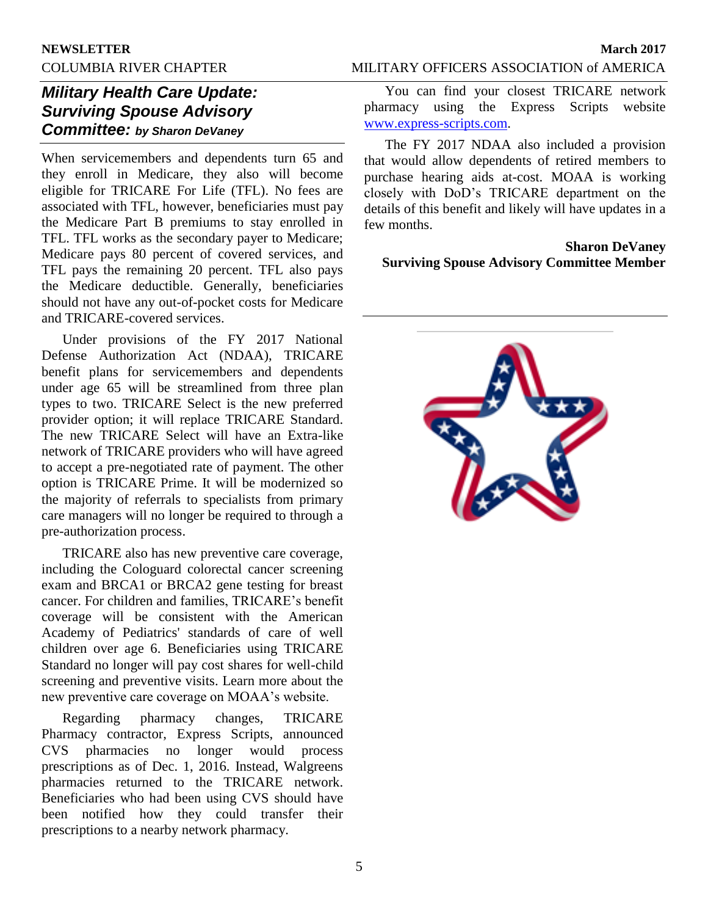### COLUMBIA RIVER CHAPTER MILITARY OFFICERS ASSOCIATION of AMERICA

## *Military Health Care Update: Surviving Spouse Advisory Committee: by Sharon DeVaney*

When servicemembers and dependents turn 65 and they enroll in Medicare, they also will become eligible for TRICARE For Life (TFL). No fees are associated with TFL, however, beneficiaries must pay the Medicare Part B premiums to stay enrolled in TFL. TFL works as the secondary payer to Medicare; Medicare pays 80 percent of covered services, and TFL pays the remaining 20 percent. TFL also pays the Medicare deductible. Generally, beneficiaries should not have any out-of-pocket costs for Medicare and TRICARE-covered services.

Under provisions of the FY 2017 National Defense Authorization Act (NDAA), TRICARE benefit plans for servicemembers and dependents under age 65 will be streamlined from three plan types to two. TRICARE Select is the new preferred provider option; it will replace TRICARE Standard. The new TRICARE Select will have an Extra-like network of TRICARE providers who will have agreed to accept a pre-negotiated rate of payment. The other option is TRICARE Prime. It will be modernized so the majority of referrals to specialists from primary care managers will no longer be required to through a pre-authorization process.

TRICARE also has new preventive care coverage, including the Cologuard colorectal cancer screening exam and BRCA1 or BRCA2 gene testing for breast cancer. For children and families, TRICARE's benefit coverage will be consistent with the American Academy of Pediatrics' standards of care of well children over age 6. Beneficiaries using TRICARE Standard no longer will pay cost shares for well-child screening and preventive visits. Learn more about the new preventive care coverage on MOAA's website.

Regarding pharmacy changes, TRICARE Pharmacy contractor, Express Scripts, announced CVS pharmacies no longer would process prescriptions as of Dec. 1, 2016. Instead, Walgreens pharmacies returned to the TRICARE network. Beneficiaries who had been using CVS should have been notified how they could transfer their prescriptions to a nearby network pharmacy.

You can find your closest TRICARE network pharmacy using the Express Scripts website [www.express-scripts.com.](https://www.express-scripts.com/index.html)

The FY 2017 NDAA also included a provision that would allow dependents of retired members to purchase hearing aids at-cost. MOAA is working closely with DoD's TRICARE department on the details of this benefit and likely will have updates in a few months.

**Sharon DeVaney Surviving Spouse Advisory Committee Member**

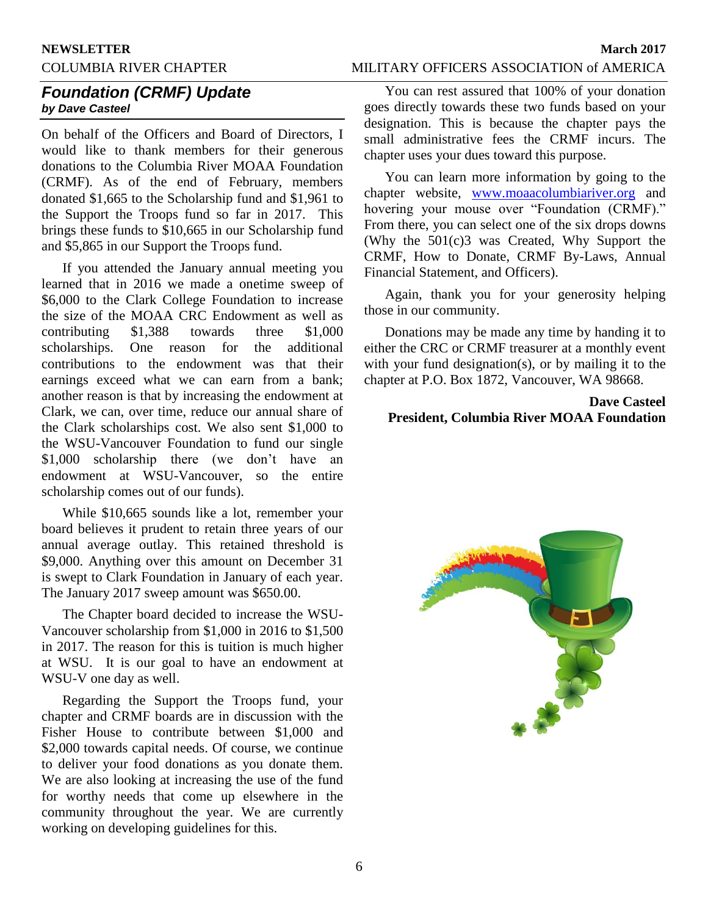# **NEWSLETTER March 2017**

### COLUMBIA RIVER CHAPTER MILITARY OFFICERS ASSOCIATION of AMERICA

### *Foundation (CRMF) Update by Dave Casteel*

On behalf of the Officers and Board of Directors, I would like to thank members for their generous donations to the Columbia River MOAA Foundation (CRMF). As of the end of February, members donated \$1,665 to the Scholarship fund and \$1,961 to the Support the Troops fund so far in 2017. This brings these funds to \$10,665 in our Scholarship fund and \$5,865 in our Support the Troops fund.

If you attended the January annual meeting you learned that in 2016 we made a onetime sweep of \$6,000 to the Clark College Foundation to increase the size of the MOAA CRC Endowment as well as contributing \$1,388 towards three \$1,000 scholarships. One reason for the additional contributions to the endowment was that their earnings exceed what we can earn from a bank; another reason is that by increasing the endowment at Clark, we can, over time, reduce our annual share of the Clark scholarships cost. We also sent \$1,000 to the WSU-Vancouver Foundation to fund our single \$1,000 scholarship there (we don't have an endowment at WSU-Vancouver, so the entire scholarship comes out of our funds).

While \$10,665 sounds like a lot, remember your board believes it prudent to retain three years of our annual average outlay. This retained threshold is \$9,000. Anything over this amount on December 31 is swept to Clark Foundation in January of each year. The January 2017 sweep amount was \$650.00.

The Chapter board decided to increase the WSU-Vancouver scholarship from \$1,000 in 2016 to \$1,500 in 2017. The reason for this is tuition is much higher at WSU. It is our goal to have an endowment at WSU-V one day as well.

Regarding the Support the Troops fund, your chapter and CRMF boards are in discussion with the Fisher House to contribute between \$1,000 and \$2,000 towards capital needs. Of course, we continue to deliver your food donations as you donate them. We are also looking at increasing the use of the fund for worthy needs that come up elsewhere in the community throughout the year. We are currently working on developing guidelines for this.

You can rest assured that 100% of your donation goes directly towards these two funds based on your designation. This is because the chapter pays the small administrative fees the CRMF incurs. The chapter uses your dues toward this purpose.

You can learn more information by going to the chapter website, [www.moaacolumbiariver.org](http://www.moaacolumbiariver.org/) and hovering your mouse over "Foundation (CRMF)." From there, you can select one of the six drops downs (Why the 501(c)3 was Created, Why Support the CRMF, How to Donate, CRMF By-Laws, Annual Financial Statement, and Officers).

Again, thank you for your generosity helping those in our community.

Donations may be made any time by handing it to either the CRC or CRMF treasurer at a monthly event with your fund designation(s), or by mailing it to the chapter at P.O. Box 1872, Vancouver, WA 98668.

### **Dave Casteel President, Columbia River MOAA Foundation**

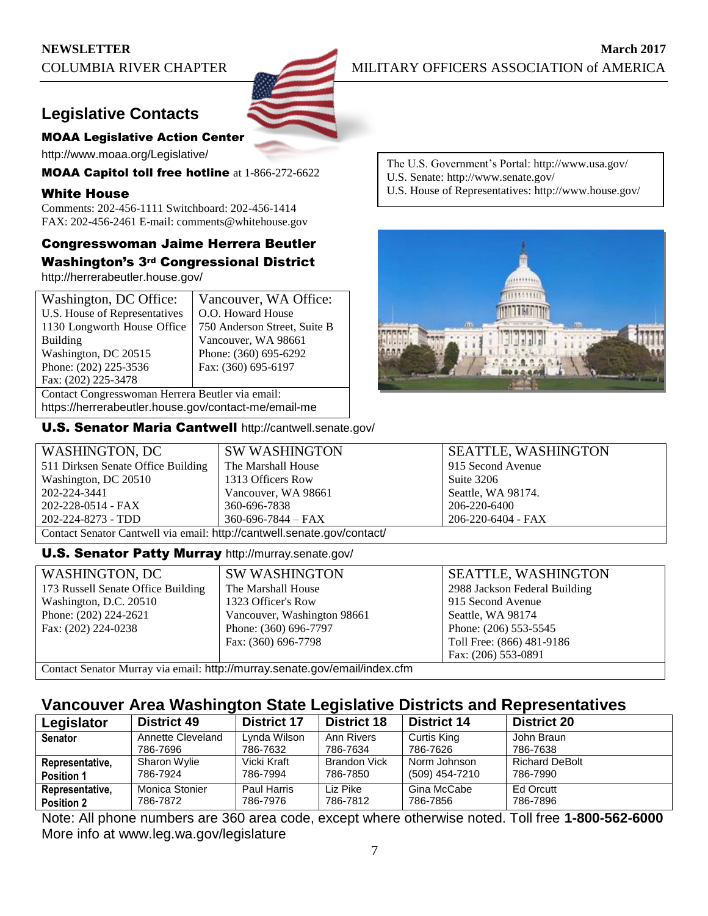## **Legislative Contacts**

### MOAA Legislative Action Center

http://www.moaa.org/Legislative/

MOAA Capitol toll free hotline at 1-866-272-6622

### White House

Comments: 202-456-1111 Switchboard: 202-456-1414 FAX: 202-456-2461 E-mail: comments@whitehouse.gov

### Congresswoman Jaime Herrera Beutler Washington's 3rd Congressional District

http://herrerabeutler.house.gov/

| Washington, DC Office:                           | Vancouver, WA Office:        |  |
|--------------------------------------------------|------------------------------|--|
| U.S. House of Representatives                    | O.O. Howard House            |  |
| 1130 Longworth House Office                      | 750 Anderson Street, Suite B |  |
| <b>Building</b>                                  | Vancouver, WA 98661          |  |
| Washington, DC 20515                             | Phone: (360) 695-6292        |  |
| Phone: (202) 225-3536                            | Fax: (360) 695-6197          |  |
| Fax: (202) 225-3478                              |                              |  |
| Contact Congresswoman Herrera Beutler via email: |                              |  |
|                                                  | .                            |  |

https://herrerabeutler.house.gov/contact-me/email-me

U.S. Senator Maria Cantwell http://cantwell.senate.gov/

The U.S. Government's Portal: http://www.usa.gov/

- U.S. Senate: http://www.senate.gov/
- U.S. House of Representatives: http://www.house.gov/



| WASHINGTON, DC                                                          | <b>SW WASHINGTON</b>     | <b>SEATTLE, WASHINGTON</b> |  |
|-------------------------------------------------------------------------|--------------------------|----------------------------|--|
| 511 Dirksen Senate Office Building                                      | The Marshall House       | 915 Second Avenue          |  |
| Washington, DC 20510                                                    | 1313 Officers Row        | Suite 3206                 |  |
| 202-224-3441                                                            | Vancouver, WA 98661      | Seattle, WA 98174.         |  |
| 202-228-0514 - FAX                                                      | 360-696-7838             | 206-220-6400               |  |
| 202-224-8273 - TDD                                                      | $360 - 696 - 7844 - FAX$ | 206-220-6404 - FAX         |  |
| Contact Senator Cantwell via email: http://cantwell.senate.gov/contact/ |                          |                            |  |

### **U.S. Senator Patty Murray** http://murray.senate.gov/

| WASHINGTON, DC                                                             | <b>SW WASHINGTON</b>        | <b>SEATTLE, WASHINGTON</b>    |  |
|----------------------------------------------------------------------------|-----------------------------|-------------------------------|--|
| 173 Russell Senate Office Building                                         | The Marshall House          | 2988 Jackson Federal Building |  |
| Washington, D.C. 20510                                                     | 1323 Officer's Row          | 915 Second Avenue             |  |
| Phone: $(202)$ 224-2621                                                    | Vancouver, Washington 98661 | Seattle, WA 98174             |  |
| Fax: (202) 224-0238                                                        | Phone: (360) 696-7797       | Phone: (206) 553-5545         |  |
|                                                                            | Fax: (360) 696-7798         | Toll Free: (866) 481-9186     |  |
|                                                                            |                             | Fax: (206) 553-0891           |  |
| Contact Senator Murray via email: http://murray.senate.gov/email/index.cfm |                             |                               |  |

### **Vancouver Area Washington State Legislative Districts and Representatives**

| Legislator        | <b>District 49</b> | <b>District 17</b> | <b>District 18</b>  | <b>District 14</b> | <b>District 20</b>    |
|-------------------|--------------------|--------------------|---------------------|--------------------|-----------------------|
| <b>Senator</b>    | Annette Cleveland  | Lynda Wilson       | Ann Rivers          | Curtis King        | John Braun            |
|                   | 786-7696           | 786-7632           | 786-7634            | 786-7626           | 786-7638              |
| Representative,   | Sharon Wylie       | Vicki Kraft        | <b>Brandon Vick</b> | Norm Johnson       | <b>Richard DeBolt</b> |
| <b>Position 1</b> | 786-7924           | 786-7994           | 786-7850            | (509) 454-7210     | 786-7990              |
| Representative,   | Monica Stonier     | Paul Harris        | Liz Pike            | Gina McCabe        | Ed Orcutt             |
| <b>Position 2</b> | 786-7872           | 786-7976           | 786-7812            | 786-7856           | 786-7896              |

Note: All phone numbers are 360 area code, except where otherwise noted. Toll free **1-800-562-6000** More info at www.leg.wa.gov/legislature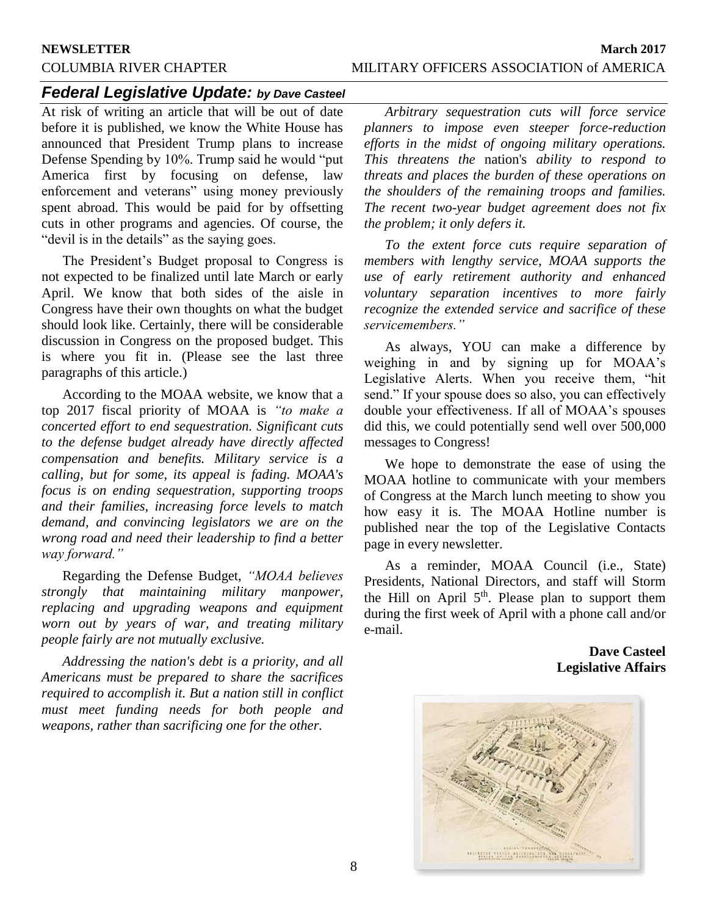## *Federal Legislative Update: by Dave Casteel*

At risk of writing an article that will be out of date before it is published, we know the White House has announced that President Trump plans to increase Defense Spending by 10%. Trump said he would "put America first by focusing on defense, law enforcement and veterans" using money previously spent abroad. This would be paid for by offsetting cuts in other programs and agencies. Of course, the "devil is in the details" as the saying goes.

The President's Budget proposal to Congress is not expected to be finalized until late March or early April. We know that both sides of the aisle in Congress have their own thoughts on what the budget should look like. Certainly, there will be considerable discussion in Congress on the proposed budget. This is where you fit in. (Please see the last three paragraphs of this article.)

According to the MOAA website, we know that a top 2017 fiscal priority of MOAA is *"to make a concerted effort to end sequestration. Significant cuts to the defense budget already have directly affected compensation and benefits. Military service is a calling, but for some, its appeal is fading. MOAA's focus is on ending sequestration, supporting troops and their families, increasing force levels to match demand, and convincing legislators we are on the wrong road and need their leadership to find a better way forward."*

Regarding the Defense Budget, *"MOAA believes strongly that maintaining military manpower, replacing and upgrading weapons and equipment worn out by years of war, and treating military people fairly are not mutually exclusive.*

*Addressing the nation's debt is a priority, and all Americans must be prepared to share the sacrifices required to accomplish it. But a nation still in conflict must meet funding needs for both people and weapons, rather than sacrificing one for the other.*

*Arbitrary sequestration cuts will force service planners to impose even steeper force-reduction efforts in the midst of ongoing military operations. This threatens the* nation's *ability to respond to threats and places the burden of these operations on the shoulders of the remaining troops and families. The recent two-year budget agreement does not fix the problem; it only defers it.*

*To the extent force cuts require separation of members with lengthy service, MOAA supports the use of early retirement authority and enhanced voluntary separation incentives to more fairly recognize the extended service and sacrifice of these servicemembers."*

As always, YOU can make a difference by weighing in and by signing up for MOAA's Legislative Alerts. When you receive them, "hit send." If your spouse does so also, you can effectively double your effectiveness. If all of MOAA's spouses did this, we could potentially send well over 500,000 messages to Congress!

We hope to demonstrate the ease of using the MOAA hotline to communicate with your members of Congress at the March lunch meeting to show you how easy it is. The MOAA Hotline number is published near the top of the Legislative Contacts page in every newsletter.

As a reminder, MOAA Council (i.e., State) Presidents, National Directors, and staff will Storm the Hill on April  $5<sup>th</sup>$ . Please plan to support them during the first week of April with a phone call and/or e-mail.

> **Dave Casteel Legislative Affairs**

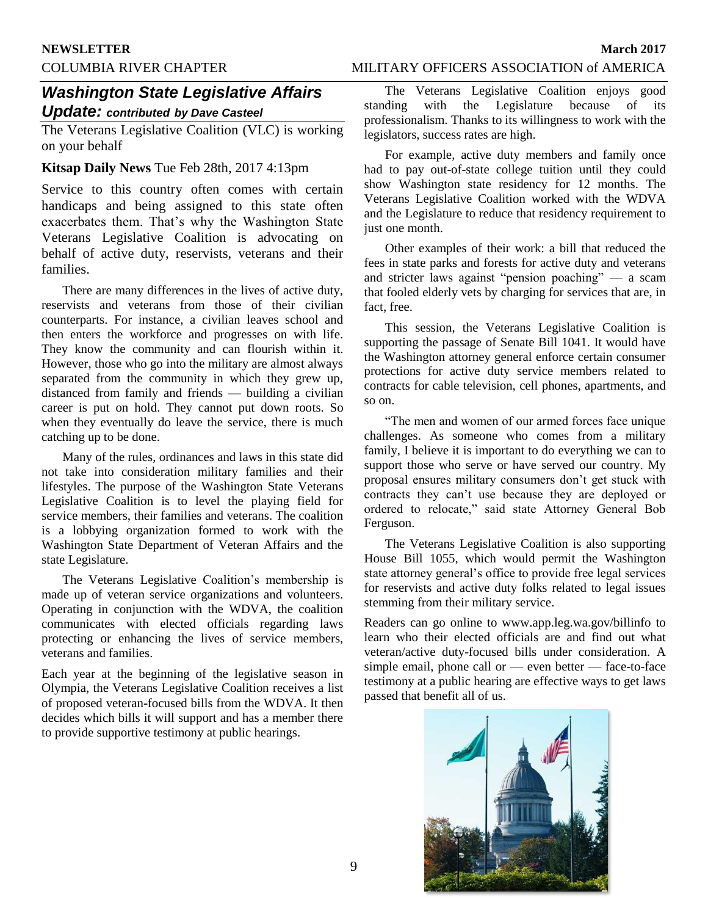### COLUMBIA RIVER CHAPTER MILITARY OFFICERS ASSOCIATION of AMERICA

## *Washington State Legislative Affairs Update: contributed by Dave Casteel*

The Veterans Legislative Coalition (VLC) is working on your behalf

### **Kitsap Daily News** Tue Feb 28th, 2017 4:13pm

Service to this country often comes with certain handicaps and being assigned to this state often exacerbates them. That's why the Washington State Veterans Legislative Coalition is advocating on behalf of active duty, reservists, veterans and their families.

There are many differences in the lives of active duty, reservists and veterans from those of their civilian counterparts. For instance, a civilian leaves school and then enters the workforce and progresses on with life. They know the community and can flourish within it. However, those who go into the military are almost always separated from the community in which they grew up, distanced from family and friends — building a civilian career is put on hold. They cannot put down roots. So when they eventually do leave the service, there is much catching up to be done.

Many of the rules, ordinances and laws in this state did not take into consideration military families and their lifestyles. The purpose of the Washington State Veterans Legislative Coalition is to level the playing field for service members, their families and veterans. The coalition is a lobbying organization formed to work with the Washington State Department of Veteran Affairs and the state Legislature.

The Veterans Legislative Coalition's membership is made up of veteran service organizations and volunteers. Operating in conjunction with the WDVA, the coalition communicates with elected officials regarding laws protecting or enhancing the lives of service members, veterans and families.

Each year at the beginning of the legislative season in Olympia, the Veterans Legislative Coalition receives a list of proposed veteran-focused bills from the WDVA. It then decides which bills it will support and has a member there to provide supportive testimony at public hearings.

The Veterans Legislative Coalition enjoys good standing with the Legislature because of its professionalism. Thanks to its willingness to work with the legislators, success rates are high.

For example, active duty members and family once had to pay out-of-state college tuition until they could show Washington state residency for 12 months. The Veterans Legislative Coalition worked with the WDVA and the Legislature to reduce that residency requirement to just one month.

Other examples of their work: a bill that reduced the fees in state parks and forests for active duty and veterans and stricter laws against "pension poaching" — a scam that fooled elderly vets by charging for services that are, in fact, free.

This session, the Veterans Legislative Coalition is supporting the passage of Senate Bill 1041. It would have the Washington attorney general enforce certain consumer protections for active duty service members related to contracts for cable television, cell phones, apartments, and so on.

"The men and women of our armed forces face unique challenges. As someone who comes from a military family, I believe it is important to do everything we can to support those who serve or have served our country. My proposal ensures military consumers don't get stuck with contracts they can't use because they are deployed or ordered to relocate," said state Attorney General Bob Ferguson.

The Veterans Legislative Coalition is also supporting House Bill 1055, which would permit the Washington state attorney general's office to provide free legal services for reservists and active duty folks related to legal issues stemming from their military service.

Readers can go online to www.app.leg.wa.gov/billinfo to learn who their elected officials are and find out what veteran/active duty-focused bills under consideration. A simple email, phone call or — even better — face-to-face testimony at a public hearing are effective ways to get laws passed that benefit all of us.